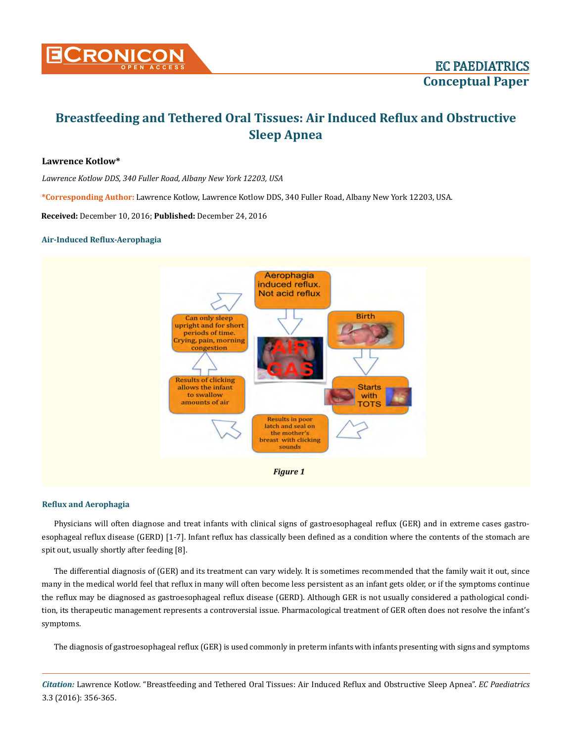

# **Lawrence Kotlow\***

*Lawrence Kotlow DDS, 340 Fuller Road, Albany New York 12203, USA*

**\*Corresponding Author:** Lawrence Kotlow, Lawrence Kotlow DDS, 340 Fuller Road, Albany New York 12203, USA.

**Received:** December 10, 2016; **Published:** December 24, 2016

#### **Air-Induced Reflux-Aerophagia**



#### **Reflux and Aerophagia**

Physicians will often diagnose and treat infants with clinical signs of gastroesophageal reflux (GER) and in extreme cases gastroesophageal reflux disease (GERD) [1-7]. Infant reflux has classically been defined as a condition where the contents of the stomach are spit out, usually shortly after feeding [8].

The differential diagnosis of (GER) and its treatment can vary widely. It is sometimes recommended that the family wait it out, since many in the medical world feel that reflux in many will often become less persistent as an infant gets older, or if the symptoms continue the reflux may be diagnosed as gastroesophageal reflux disease (GERD). Although GER is not usually considered a pathological condition, its therapeutic management represents a controversial issue. Pharmacological treatment of GER often does not resolve the infant's symptoms.

The diagnosis of gastroesophageal reflux (GER) is used commonly in preterm infants with infants presenting with signs and symptoms

*Citation:* Lawrence Kotlow. "Breastfeeding and Tethered Oral Tissues: Air Induced Reflux and Obstructive Sleep Apnea". *EC Paediatrics*  3.3 (2016): 356-365.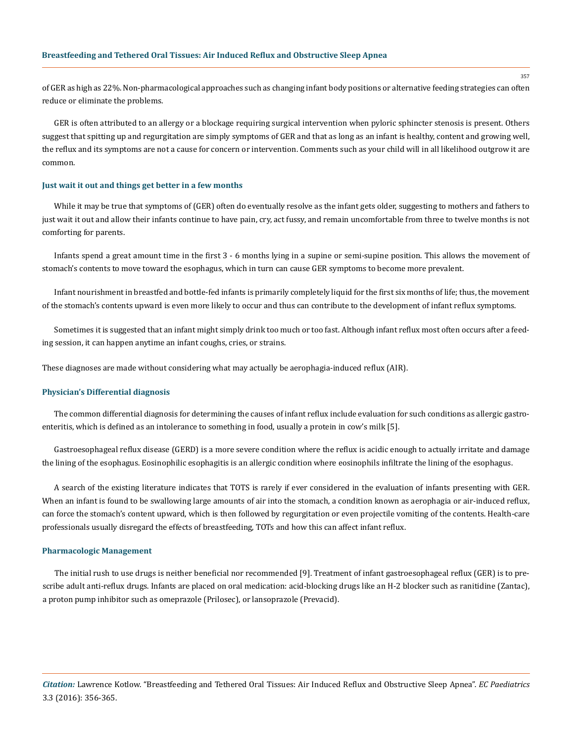of GER as high as 22%. Non-pharmacological approaches such as changing infant body positions or alternative feeding strategies can often reduce or eliminate the problems.

GER is often attributed to an allergy or a blockage requiring surgical intervention when pyloric sphincter stenosis is present. Others suggest that spitting up and regurgitation are simply symptoms of GER and that as long as an infant is healthy, content and growing well, the reflux and its symptoms are not a cause for concern or intervention. Comments such as your child will in all likelihood outgrow it are common.

#### **Just wait it out and things get better in a few months**

While it may be true that symptoms of (GER) often do eventually resolve as the infant gets older, suggesting to mothers and fathers to just wait it out and allow their infants continue to have pain, cry, act fussy, and remain uncomfortable from three to twelve months is not comforting for parents.

Infants spend a great amount time in the first 3 - 6 months lying in a supine or semi-supine position. This allows the movement of stomach's contents to move toward the esophagus, which in turn can cause GER symptoms to become more prevalent.

Infant nourishment in breastfed and bottle-fed infants is primarily completely liquid for the first six months of life; thus, the movement of the stomach's contents upward is even more likely to occur and thus can contribute to the development of infant reflux symptoms.

Sometimes it is suggested that an infant might simply drink too much or too fast. Although infant reflux most often occurs after a feeding session, it can happen anytime an infant coughs, cries, or strains.

These diagnoses are made without considering what may actually be aerophagia-induced reflux (AIR).

#### **Physician's Differential diagnosis**

The common differential diagnosis for determining the causes of infant reflux include evaluation for such conditions as allergic gastroenteritis, which is defined as an intolerance to something in food, usually a protein in cow's milk [5].

Gastroesophageal reflux disease (GERD) is a more severe condition where the reflux is acidic enough to actually irritate and damage the lining of the esophagus. Eosinophilic esophagitis is an allergic condition where eosinophils infiltrate the lining of the esophagus.

A search of the existing literature indicates that TOTS is rarely if ever considered in the evaluation of infants presenting with GER. When an infant is found to be swallowing large amounts of air into the stomach, a condition known as aerophagia or air-induced reflux, can force the stomach's content upward, which is then followed by regurgitation or even projectile vomiting of the contents. Health-care professionals usually disregard the effects of breastfeeding, TOTs and how this can affect infant reflux.

#### **Pharmacologic Management**

The initial rush to use drugs is neither beneficial nor recommended [9]. Treatment of infant gastroesophageal reflux (GER) is to prescribe adult anti-reflux drugs. Infants are placed on oral medication: acid-blocking drugs like an H-2 blocker such as ranitidine (Zantac), a proton pump inhibitor such as omeprazole (Prilosec), or lansoprazole (Prevacid).

*Citation:* Lawrence Kotlow. "Breastfeeding and Tethered Oral Tissues: Air Induced Reflux and Obstructive Sleep Apnea". *EC Paediatrics*  3.3 (2016): 356-365.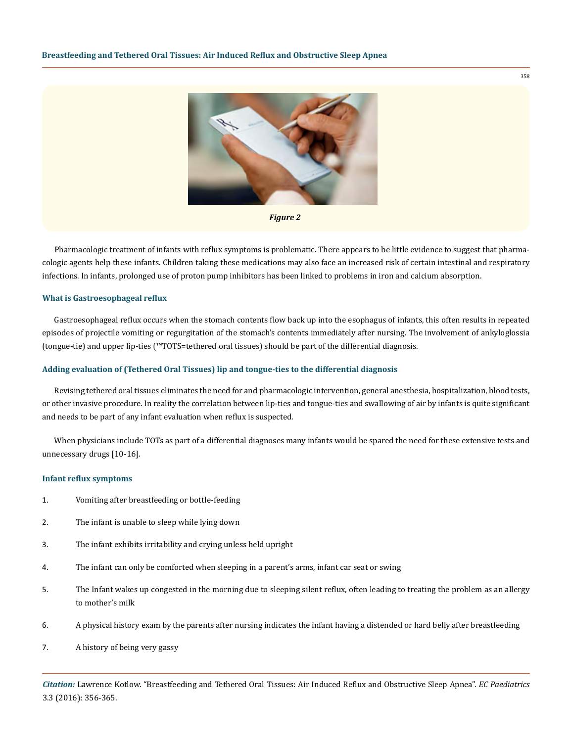



Pharmacologic treatment of infants with reflux symptoms is problematic. There appears to be little evidence to suggest that pharmacologic agents help these infants. Children taking these medications may also face an increased risk of certain intestinal and respiratory infections. In infants, prolonged use of proton pump inhibitors has been linked to problems in iron and calcium absorption.

#### **What is Gastroesophageal reflux**

Gastroesophageal reflux occurs when the stomach contents flow back up into the esophagus of infants, this often results in repeated episodes of projectile vomiting or regurgitation of the stomach's contents immediately after nursing. The involvement of ankyloglossia (tongue-tie) and upper lip-ties (™TOTS=tethered oral tissues) should be part of the differential diagnosis.

#### **Adding evaluation of (Tethered Oral Tissues) lip and tongue-ties to the differential diagnosis**

Revising tethered oral tissues eliminates the need for and pharmacologic intervention, general anesthesia, hospitalization, blood tests, or other invasive procedure. In reality the correlation between lip-ties and tongue-ties and swallowing of air by infants is quite significant and needs to be part of any infant evaluation when reflux is suspected.

When physicians include TOTs as part of a differential diagnoses many infants would be spared the need for these extensive tests and unnecessary drugs [10-16].

#### **Infant reflux symptoms**

- 1. Vomiting after breastfeeding or bottle-feeding
- 2. The infant is unable to sleep while lying down
- 3. The infant exhibits irritability and crying unless held upright
- 4. The infant can only be comforted when sleeping in a parent's arms, infant car seat or swing
- 5. The Infant wakes up congested in the morning due to sleeping silent reflux, often leading to treating the problem as an allergy to mother's milk
- 6. A physical history exam by the parents after nursing indicates the infant having a distended or hard belly after breastfeeding
- 7. A history of being very gassy

*Citation:* Lawrence Kotlow. "Breastfeeding and Tethered Oral Tissues: Air Induced Reflux and Obstructive Sleep Apnea". *EC Paediatrics*  3.3 (2016): 356-365.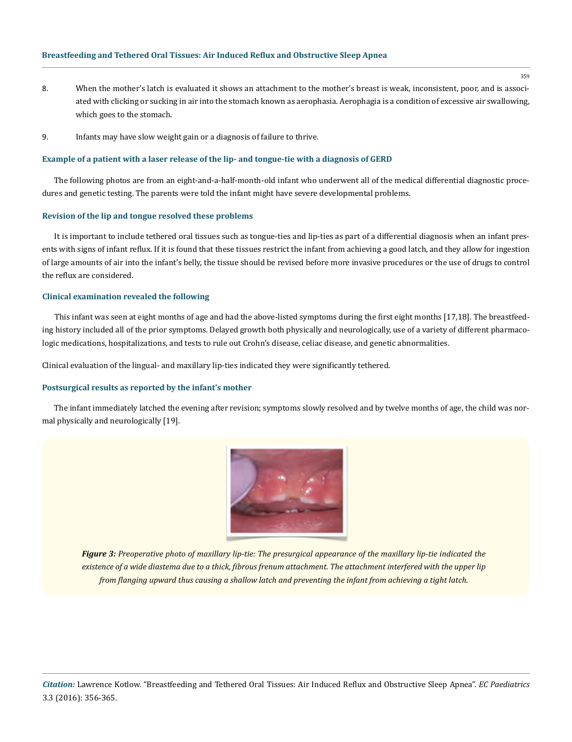- 8. When the mother's latch is evaluated it shows an attachment to the mother's breast is weak, inconsistent, poor, and is associated with clicking or sucking in air into the stomach known as aerophasia. Aerophagia is a condition of excessive air swallowing, which goes to the stomach.
- 9. Infants may have slow weight gain or a diagnosis of failure to thrive.

#### **Example of a patient with a laser release of the lip- and tongue-tie with a diagnosis of GERD**

The following photos are from an eight-and-a-half-month-old infant who underwent all of the medical differential diagnostic procedures and genetic testing. The parents were told the infant might have severe developmental problems.

#### **Revision of the lip and tongue resolved these problems**

It is important to include tethered oral tissues such as tongue-ties and lip-ties as part of a differential diagnosis when an infant presents with signs of infant reflux. If it is found that these tissues restrict the infant from achieving a good latch, and they allow for ingestion of large amounts of air into the infant's belly, the tissue should be revised before more invasive procedures or the use of drugs to control the reflux are considered.

# **Clinical examination revealed the following**

This infant was seen at eight months of age and had the above-listed symptoms during the first eight months [17,18]. The breastfeeding history included all of the prior symptoms. Delayed growth both physically and neurologically, use of a variety of different pharmacologic medications, hospitalizations, and tests to rule out Crohn's disease, celiac disease, and genetic abnormalities.

Clinical evaluation of the lingual- and maxillary lip-ties indicated they were significantly tethered.

#### **Postsurgical results as reported by the infant's mother**

The infant immediately latched the evening after revision; symptoms slowly resolved and by twelve months of age, the child was normal physically and neurologically [19].



*Figure 3: Preoperative photo of maxillary lip-tie: The presurgical appearance of the maxillary lip-tie indicated the existence of a wide diastema due to a thick, fibrous frenum attachment. The attachment interfered with the upper lip from flanging upward thus causing a shallow latch and preventing the infant from achieving a tight latch.*

*Citation:* Lawrence Kotlow. "Breastfeeding and Tethered Oral Tissues: Air Induced Reflux and Obstructive Sleep Apnea". *EC Paediatrics*  3.3 (2016): 356-365.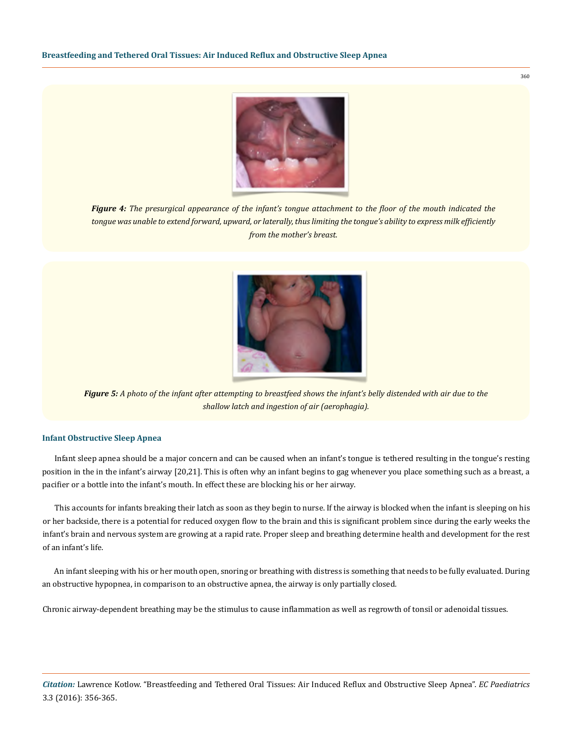

360

*Figure 4: The presurgical appearance of the infant's tongue attachment to the floor of the mouth indicated the tongue was unable to extend forward, upward, or laterally, thus limiting the tongue's ability to express milk efficiently from the mother's breast.*



*Figure 5: A photo of the infant after attempting to breastfeed shows the infant's belly distended with air due to the shallow latch and ingestion of air (aerophagia).*

# **Infant Obstructive Sleep Apnea**

Infant sleep apnea should be a major concern and can be caused when an infant's tongue is tethered resulting in the tongue's resting position in the in the infant's airway [20,21]. This is often why an infant begins to gag whenever you place something such as a breast, a pacifier or a bottle into the infant's mouth. In effect these are blocking his or her airway.

This accounts for infants breaking their latch as soon as they begin to nurse. If the airway is blocked when the infant is sleeping on his or her backside, there is a potential for reduced oxygen flow to the brain and this is significant problem since during the early weeks the infant's brain and nervous system are growing at a rapid rate. Proper sleep and breathing determine health and development for the rest of an infant's life.

An infant sleeping with his or her mouth open, snoring or breathing with distress is something that needs to be fully evaluated. During an obstructive hypopnea, in comparison to an obstructive apnea, the airway is only partially closed.

Chronic airway-dependent breathing may be the stimulus to cause inflammation as well as regrowth of tonsil or adenoidal tissues.

*Citation:* Lawrence Kotlow. "Breastfeeding and Tethered Oral Tissues: Air Induced Reflux and Obstructive Sleep Apnea". *EC Paediatrics*  3.3 (2016): 356-365.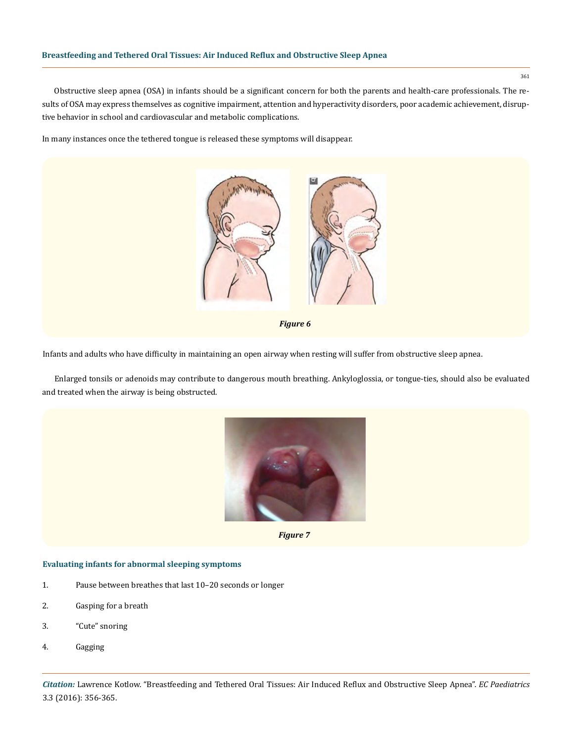Obstructive sleep apnea (OSA) in infants should be a significant concern for both the parents and health-care professionals. The results of OSA may express themselves as cognitive impairment, attention and hyperactivity disorders, poor academic achievement, disruptive behavior in school and cardiovascular and metabolic complications.

In many instances once the tethered tongue is released these symptoms will disappear.



*Figure 6*

Infants and adults who have difficulty in maintaining an open airway when resting will suffer from obstructive sleep apnea.

Enlarged tonsils or adenoids may contribute to dangerous mouth breathing. Ankyloglossia, or tongue-ties, should also be evaluated and treated when the airway is being obstructed.



*Figure 7*

# **Evaluating infants for abnormal sleeping symptoms**

- 1. Pause between breathes that last 10–20 seconds or longer
- 2. Gasping for a breath
- 3. "Cute" snoring
- 4. Gagging

*Citation:* Lawrence Kotlow. "Breastfeeding and Tethered Oral Tissues: Air Induced Reflux and Obstructive Sleep Apnea". *EC Paediatrics*  3.3 (2016): 356-365.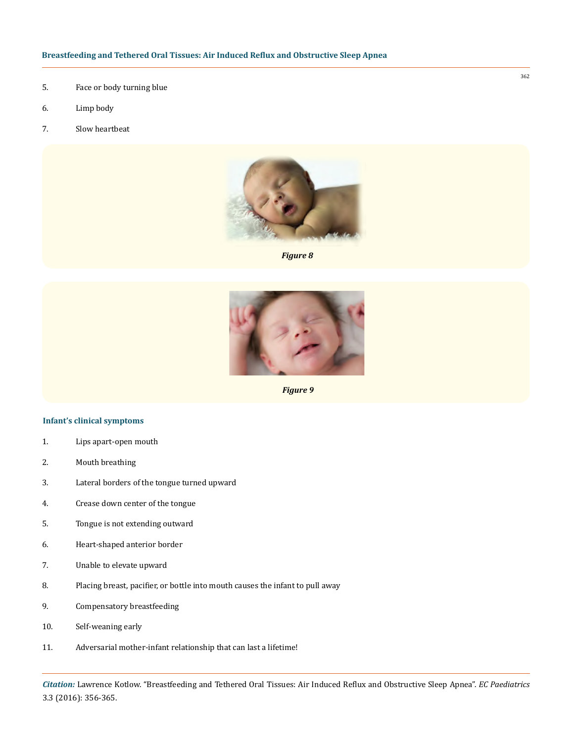- 5. Face or body turning blue
- 6. Limp body
- 7. Slow heartbeat



*Figure 8*



*Figure 9*

#### **Infant's clinical symptoms**

- 1. Lips apart-open mouth
- 2. Mouth breathing
- 3. Lateral borders of the tongue turned upward
- 4. Crease down center of the tongue
- 5. Tongue is not extending outward
- 6. Heart-shaped anterior border
- 7. Unable to elevate upward
- 8. Placing breast, pacifier, or bottle into mouth causes the infant to pull away
- 9. Compensatory breastfeeding
- 10. Self-weaning early
- 11. Adversarial mother-infant relationship that can last a lifetime!

*Citation:* Lawrence Kotlow. "Breastfeeding and Tethered Oral Tissues: Air Induced Reflux and Obstructive Sleep Apnea". *EC Paediatrics*  3.3 (2016): 356-365.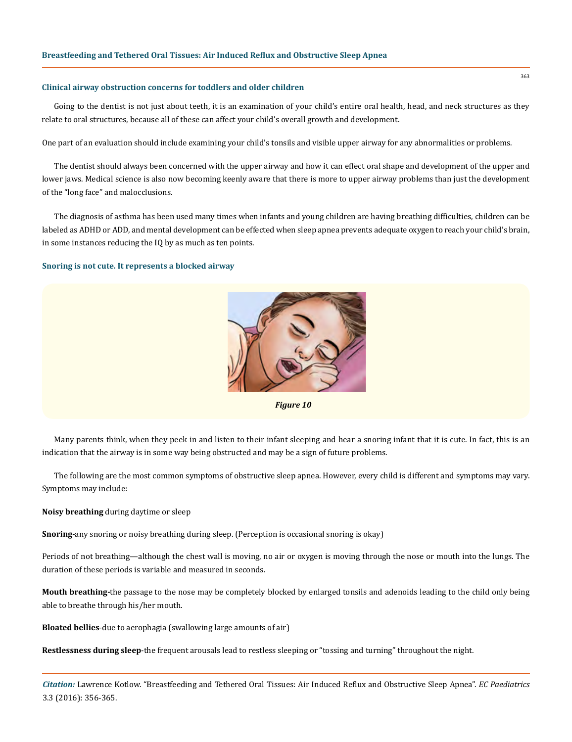#### **Clinical airway obstruction concerns for toddlers and older children**

Going to the dentist is not just about teeth, it is an examination of your child's entire oral health, head, and neck structures as they relate to oral structures, because all of these can affect your child's overall growth and development.

One part of an evaluation should include examining your child's tonsils and visible upper airway for any abnormalities or problems.

The dentist should always been concerned with the upper airway and how it can effect oral shape and development of the upper and lower jaws. Medical science is also now becoming keenly aware that there is more to upper airway problems than just the development of the "long face" and malocclusions.

The diagnosis of asthma has been used many times when infants and young children are having breathing difficulties, children can be labeled as ADHD or ADD, and mental development can be effected when sleep apnea prevents adequate oxygen to reach your child's brain, in some instances reducing the IQ by as much as ten points.

#### **Snoring is not cute. It represents a blocked airway**



*Figure 10*

Many parents think, when they peek in and listen to their infant sleeping and hear a snoring infant that it is cute. In fact, this is an indication that the airway is in some way being obstructed and may be a sign of future problems.

The following are the most common symptoms of obstructive sleep apnea. However, every child is different and symptoms may vary. Symptoms may include:

**Noisy breathing** during daytime or sleep

**Snoring-**any snoring or noisy breathing during sleep. (Perception is occasional snoring is okay)

Periods of not breathing—although the chest wall is moving, no air or oxygen is moving through the nose or mouth into the lungs. The duration of these periods is variable and measured in seconds.

**Mouth breathing-**the passage to the nose may be completely blocked by enlarged tonsils and adenoids leading to the child only being able to breathe through his/her mouth.

**Bloated bellies**-due to aerophagia (swallowing large amounts of air)

**Restlessness during sleep**-the frequent arousals lead to restless sleeping or "tossing and turning" throughout the night.

*Citation:* Lawrence Kotlow. "Breastfeeding and Tethered Oral Tissues: Air Induced Reflux and Obstructive Sleep Apnea". *EC Paediatrics*  3.3 (2016): 356-365.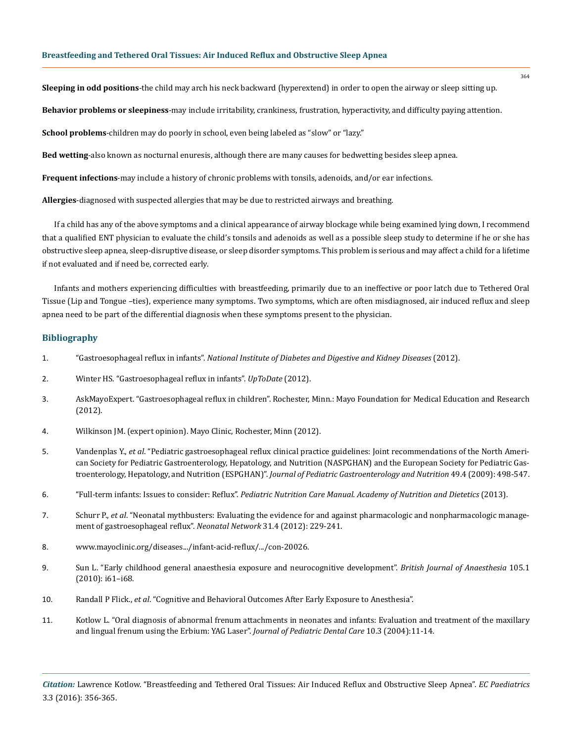**Sleeping in odd positions**-the child may arch his neck backward (hyperextend) in order to open the airway or sleep sitting up.

**Behavior problems or sleepiness**-may include irritability, crankiness, frustration, hyperactivity, and difficulty paying attention.

**School problems**-children may do poorly in school, even being labeled as "slow" or "lazy."

**Bed wetting**-also known as nocturnal enuresis, although there are many causes for bedwetting besides sleep apnea.

**Frequent infections**-may include a history of chronic problems with tonsils, adenoids, and/or ear infections.

**Allergies**-diagnosed with suspected allergies that may be due to restricted airways and breathing.

If a child has any of the above symptoms and a clinical appearance of airway blockage while being examined lying down, I recommend that a qualified ENT physician to evaluate the child's tonsils and adenoids as well as a possible sleep study to determine if he or she has obstructive sleep apnea, sleep-disruptive disease, or sleep disorder symptoms. This problem is serious and may affect a child for a lifetime if not evaluated and if need be, corrected early.

Infants and mothers experiencing difficulties with breastfeeding, primarily due to an ineffective or poor latch due to Tethered Oral Tissue (Lip and Tongue –ties), experience many symptoms. Two symptoms, which are often misdiagnosed, air induced reflux and sleep apnea need to be part of the differential diagnosis when these symptoms present to the physician.

# **Bibliography**

- 1. "Gastroesophageal reflux in infants". *[National Institute of Diabetes and Digestive and Kidney Diseases](https://www.niddk.nih.gov/health-information/digestive-diseases/acid-reflux-ger-gerd-infants)* (2012).
- 2. [Winter HS. "Gastroesophageal reflux in infants".](http://www.uptodate.com/home) *UpToDate* (2012).
- 3. AskMayoExpert. "Gastroesophageal reflux in children". Rochester, Minn.: Mayo Foundation for Medical Education and Research (2012).
- 4. Wilkinson JM. (expert opinion). Mayo Clinic, Rochester, Minn (2012).
- 5. Vandenplas Y., *et al*[. "Pediatric gastroesophageal reflux clinical practice guidelines: Joint recommendations of the North Ameri](https://www.ncbi.nlm.nih.gov/pubmed/19745761)[can Society for Pediatric Gastroenterology, Hepatology, and Nutrition \(NASPGHAN\) and the European Society for Pediatric Gas](https://www.ncbi.nlm.nih.gov/pubmed/19745761)troenterology, Hepatology, and Nutrition (ESPGHAN)". *[Journal of Pediatric Gastroenterology and Nutrition](https://www.ncbi.nlm.nih.gov/pubmed/19745761)* 49.4 (2009): 498-547.
- 6. "Full-term infants: Issues to consider: Reflux". *[Pediatric Nutrition Care Manual. Academy of Nutrition and](https://www.nutritioncaremanual.org/index.cfm) Dietetics* (2013).
- 7. Schurr P., *et al*[. "Neonatal mythbusters: Evaluating the evidence for and against pharmacologic and nonpharmacologic manage](https://www.ncbi.nlm.nih.gov/pubmed/22763250)[ment of gastroesophageal reflux".](https://www.ncbi.nlm.nih.gov/pubmed/22763250) *Neonatal Network* 31.4 (2012): 229-241.
- 8. [www.mayoclinic.org/diseases.../infant-acid-reflux/.../con-20026](http://www.mayoclinic.org/diseases.../infant-acid-reflux/.../con-20026).
- 9. [Sun L. "Early childhood general anaesthesia exposure and neurocognitive development".](https://www.ncbi.nlm.nih.gov/pubmed/21148656) *British Journal of Anaesthesia* 105.1 [\(2010\): i61–i68.](https://www.ncbi.nlm.nih.gov/pubmed/21148656)
- 10. Randall P Flick., *et al*. "Cognitive and Behavioral Outcomes After Early Exposure to Anesthesia".
- 11. Kotlow L. "Oral diagnosis of abnormal frenum attachments in neonates and infants: Evaluation and treatment of the maxillary and lingual frenum using the Erbium: YAG Laser". *Journal of Pediatric Dental Care* 10.3 (2004):11-14.

*Citation:* Lawrence Kotlow. "Breastfeeding and Tethered Oral Tissues: Air Induced Reflux and Obstructive Sleep Apnea". *EC Paediatrics*  3.3 (2016): 356-365.